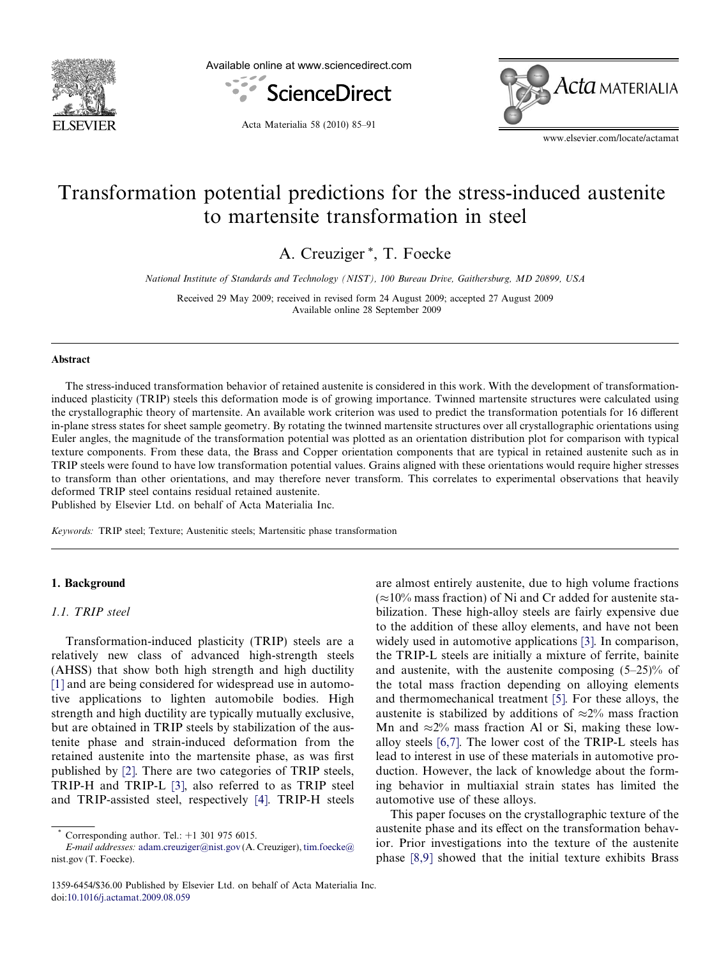

Available online at www.sciencedirect.com



Acta Materialia 58 (2010) 85–91



www.elsevier.com/locate/actamat

# Transformation potential predictions for the stress-induced austenite to martensite transformation in steel

A. Creuziger \*, T. Foecke

National Institute of Standards and Technology (NIST), 100 Bureau Drive, Gaithersburg, MD 20899, USA

Received 29 May 2009; received in revised form 24 August 2009; accepted 27 August 2009 Available online 28 September 2009

#### Abstract

The stress-induced transformation behavior of retained austenite is considered in this work. With the development of transformationinduced plasticity (TRIP) steels this deformation mode is of growing importance. Twinned martensite structures were calculated using the crystallographic theory of martensite. An available work criterion was used to predict the transformation potentials for 16 different in-plane stress states for sheet sample geometry. By rotating the twinned martensite structures over all crystallographic orientations using Euler angles, the magnitude of the transformation potential was plotted as an orientation distribution plot for comparison with typical texture components. From these data, the Brass and Copper orientation components that are typical in retained austenite such as in TRIP steels were found to have low transformation potential values. Grains aligned with these orientations would require higher stresses to transform than other orientations, and may therefore never transform. This correlates to experimental observations that heavily deformed TRIP steel contains residual retained austenite.

Published by Elsevier Ltd. on behalf of Acta Materialia Inc.

Keywords: TRIP steel; Texture; Austenitic steels; Martensitic phase transformation

# 1. Background

# 1.1. TRIP steel

Transformation-induced plasticity (TRIP) steels are a relatively new class of advanced high-strength steels (AHSS) that show both high strength and high ductility [\[1\]](#page-6-0) and are being considered for widespread use in automotive applications to lighten automobile bodies. High strength and high ductility are typically mutually exclusive, but are obtained in TRIP steels by stabilization of the austenite phase and strain-induced deformation from the retained austenite into the martensite phase, as was first published by [\[2\].](#page-6-0) There are two categories of TRIP steels, TRIP-H and TRIP-L [\[3\],](#page-6-0) also referred to as TRIP steel and TRIP-assisted steel, respectively [\[4\].](#page-6-0) TRIP-H steels are almost entirely austenite, due to high volume fractions  $(\approx 10\%$  mass fraction) of Ni and Cr added for austenite stabilization. These high-alloy steels are fairly expensive due to the addition of these alloy elements, and have not been widely used in automotive applications [\[3\].](#page-6-0) In comparison, the TRIP-L steels are initially a mixture of ferrite, bainite and austenite, with the austenite composing  $(5-25)\%$  of the total mass fraction depending on alloying elements and thermomechanical treatment [\[5\].](#page-6-0) For these alloys, the austenite is stabilized by additions of  $\approx 2\%$  mass fraction Mn and  $\approx$ 2% mass fraction Al or Si, making these lowalloy steels [\[6,7\]](#page-6-0). The lower cost of the TRIP-L steels has lead to interest in use of these materials in automotive production. However, the lack of knowledge about the forming behavior in multiaxial strain states has limited the automotive use of these alloys.

This paper focuses on the crystallographic texture of the austenite phase and its effect on the transformation behavior. Prior investigations into the texture of the austenite phase [\[8,9\]](#page-6-0) showed that the initial texture exhibits Brass

Corresponding author. Tel.:  $+1$  301 975 6015.

E-mail addresses: [adam.creuziger@nist.gov](mailto:adam.creuziger@nist.gov) (A. Creuziger), [tim.foecke@](mailto:tim.foecke@ ) nist.gov (T. Foecke).

<sup>1359-6454/\$36.00</sup> Published by Elsevier Ltd. on behalf of Acta Materialia Inc. doi:[10.1016/j.actamat.2009.08.059](http://dx.doi.org/10.1016/j.actamat.2009.08.059)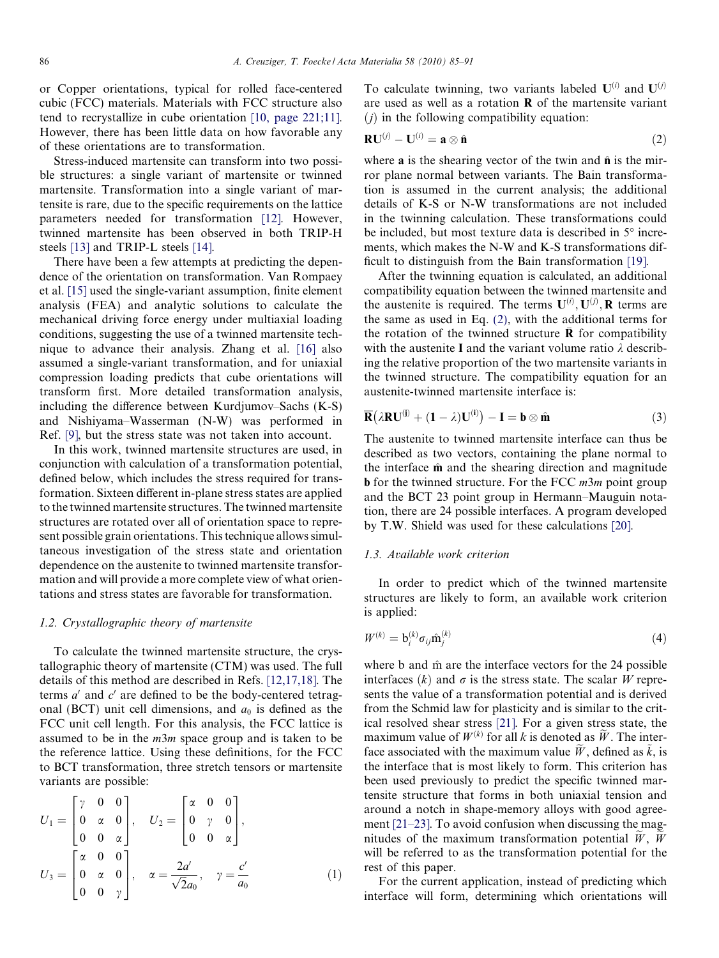or Copper orientations, typical for rolled face-centered cubic (FCC) materials. Materials with FCC structure also tend to recrystallize in cube orientation [\[10, page 221;11\]](#page-6-0). However, there has been little data on how favorable any of these orientations are to transformation.

Stress-induced martensite can transform into two possible structures: a single variant of martensite or twinned martensite. Transformation into a single variant of martensite is rare, due to the specific requirements on the lattice parameters needed for transformation [\[12\]](#page-6-0). However, twinned martensite has been observed in both TRIP-H steels [\[13\]](#page-6-0) and TRIP-L steels [\[14\]](#page-6-0).

There have been a few attempts at predicting the dependence of the orientation on transformation. Van Rompaey et al. [\[15\]](#page-6-0) used the single-variant assumption, finite element analysis (FEA) and analytic solutions to calculate the mechanical driving force energy under multiaxial loading conditions, suggesting the use of a twinned martensite technique to advance their analysis. Zhang et al. [\[16\]](#page-6-0) also assumed a single-variant transformation, and for uniaxial compression loading predicts that cube orientations will transform first. More detailed transformation analysis, including the difference between Kurdjumov–Sachs (K-S) and Nishiyama–Wasserman (N-W) was performed in Ref. [\[9\],](#page-6-0) but the stress state was not taken into account.

In this work, twinned martensite structures are used, in conjunction with calculation of a transformation potential, defined below, which includes the stress required for transformation. Sixteen different in-plane stress states are applied to the twinned martensite structures. The twinned martensite structures are rotated over all of orientation space to represent possible grain orientations. This technique allows simultaneous investigation of the stress state and orientation dependence on the austenite to twinned martensite transformation and will provide a more complete view of what orientations and stress states are favorable for transformation.

# 1.2. Crystallographic theory of martensite

To calculate the twinned martensite structure, the crystallographic theory of martensite (CTM) was used. The full details of this method are described in Refs. [\[12,17,18\].](#page-6-0) The terms  $a'$  and  $c'$  are defined to be the body-centered tetragonal (BCT) unit cell dimensions, and  $a_0$  is defined as the FCC unit cell length. For this analysis, the FCC lattice is assumed to be in the  $m3m$  space group and is taken to be the reference lattice. Using these definitions, for the FCC to BCT transformation, three stretch tensors or martensite variants are possible:

$$
U_1 = \begin{bmatrix} \gamma & 0 & 0 \\ 0 & \alpha & 0 \\ 0 & 0 & \alpha \end{bmatrix}, \quad U_2 = \begin{bmatrix} \alpha & 0 & 0 \\ 0 & \gamma & 0 \\ 0 & 0 & \alpha \end{bmatrix},
$$
  

$$
U_3 = \begin{bmatrix} \alpha & 0 & 0 \\ 0 & \alpha & 0 \\ 0 & 0 & \gamma \end{bmatrix}, \quad \alpha = \frac{2a'}{\sqrt{2}a_0}, \quad \gamma = \frac{c'}{a_0}
$$
 (1)

To calculate twinning, two variants labeled  $U^{(i)}$  and  $U^{(j)}$ are used as well as a rotation  **of the martensite variant**  $(i)$  in the following compatibility equation:

$$
\mathbf{R}\mathbf{U}^{(j)} - \mathbf{U}^{(i)} = \mathbf{a} \otimes \hat{\mathbf{n}} \tag{2}
$$

where  $\bf{a}$  is the shearing vector of the twin and  $\hat{\bf{n}}$  is the mirror plane normal between variants. The Bain transformation is assumed in the current analysis; the additional details of K-S or N-W transformations are not included in the twinning calculation. These transformations could be included, but most texture data is described in  $5^\circ$  increments, which makes the N-W and K-S transformations difficult to distinguish from the Bain transformation [\[19\]](#page-6-0).

After the twinning equation is calculated, an additional compatibility equation between the twinned martensite and the austenite is required. The terms  $U^{(i)}$ ,  $U^{(j)}$ , R terms are the same as used in Eq. (2), with the additional terms for the rotation of the twinned structure  $\bar{\mathbf{R}}$  for compatibility with the austenite I and the variant volume ratio  $\lambda$  describing the relative proportion of the two martensite variants in the twinned structure. The compatibility equation for an austenite-twinned martensite interface is:

$$
\overline{\mathbf{R}}(\lambda \mathbf{R} \mathbf{U}^{(j)} + (\mathbf{1} - \lambda) \mathbf{U}^{(i)}) - \mathbf{I} = \mathbf{b} \otimes \hat{\mathbf{m}} \tag{3}
$$

The austenite to twinned martensite interface can thus be described as two vectors, containing the plane normal to the interface  $\hat{m}$  and the shearing direction and magnitude **b** for the twinned structure. For the FCC  $m3m$  point group and the BCT 23 point group in Hermann–Mauguin notation, there are 24 possible interfaces. A program developed by T.W. Shield was used for these calculations [\[20\]](#page-6-0).

# 1.3. Available work criterion

In order to predict which of the twinned martensite structures are likely to form, an available work criterion is applied:

$$
W^{(k)} = \mathbf{b}_i^{(k)} \sigma_{ij} \hat{\mathbf{m}}_j^{(k)}
$$
\n
$$
\tag{4}
$$

where b and m are the interface vectors for the 24 possible interfaces  $(k)$  and  $\sigma$  is the stress state. The scalar W represents the value of a transformation potential and is derived from the Schmid law for plasticity and is similar to the critical resolved shear stress [\[21\].](#page-6-0) For a given stress state, the maximum value of  $W^{(k)}$  for all k is denoted as  $\widetilde{W}$ . The interface associated with the maximum value  $\hat{W}$ , defined as  $\hat{k}$ , is the interface that is most likely to form. This criterion has been used previously to predict the specific twinned martensite structure that forms in both uniaxial tension and around a notch in shape-memory alloys with good agreement [\[21–23\].](#page-6-0) To avoid confusion when discussing the magnitudes of the maximum transformation potential  $\hat{W}$ ,  $\hat{W}$ will be referred to as the transformation potential for the rest of this paper.

For the current application, instead of predicting which interface will form, determining which orientations will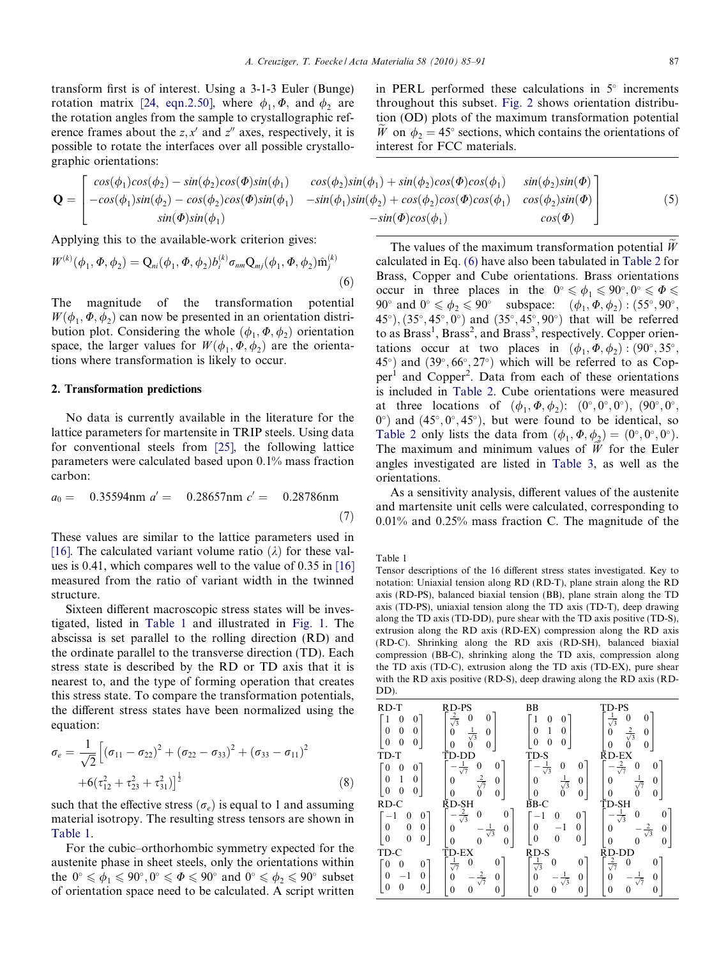<span id="page-2-0"></span>transform first is of interest. Using a 3-1-3 Euler (Bunge) rotation matrix [\[24, eqn.2.50\],](#page-6-0) where  $\phi_1$ ,  $\Phi$ , and  $\phi_2$  are the rotation angles from the sample to crystallographic reference frames about the  $z, x'$  and  $z''$  axes, respectively, it is possible to rotate the interfaces over all possible crystallographic orientations:

in PERL performed these calculations in 5° increments throughout this subset. Fig. 2 shows orientation distribution (OD) plots of the maximum transformation potential 
$$
\tilde{W}
$$
 on  $\phi_2 = 45^\circ$  sections, which contains the orientations of interest for FCC materials.

$$
\mathbf{Q} = \begin{bmatrix} \cos(\phi_1)\cos(\phi_2) - \sin(\phi_2)\cos(\Phi)\sin(\phi_1) & \cos(\phi_2)\sin(\phi_1) + \sin(\phi_2)\cos(\Phi)\cos(\phi_1) & \sin(\phi_2)\sin(\Phi) \\ -\cos(\phi_1)\sin(\phi_2) - \cos(\phi_2)\cos(\Phi)\sin(\phi_1) & -\sin(\phi_1)\sin(\phi_2) + \cos(\phi_2)\cos(\Phi)\cos(\phi_1) & \cos(\phi_2)\sin(\Phi) \\ \sin(\Phi)\sin(\phi_1) & -\sin(\phi)\cos(\phi_1) & \cos(\Phi) \end{bmatrix} \tag{5}
$$

Applying this to the available-work criterion gives:

$$
W^{(k)}(\phi_1, \Phi, \phi_2) = Q_{ni}(\phi_1, \Phi, \phi_2) b_i^{(k)} \sigma_{nm} Q_{mj}(\phi_1, \Phi, \phi_2) \hat{m}_j^{(k)}
$$
(6)

The magnitude of the transformation potential  $W(\phi_1, \Phi, \phi_2)$  can now be presented in an orientation distribution plot. Considering the whole  $(\phi_1, \Phi, \phi_2)$  orientation space, the larger values for  $W(\phi_1, \phi, \phi_2)$  are the orientations where transformation is likely to occur.

# 2. Transformation predictions

No data is currently available in the literature for the lattice parameters for martensite in TRIP steels. Using data for conventional steels from [\[25\]](#page-6-0), the following lattice parameters were calculated based upon 0.1% mass fraction carbon:

$$
a_0 = 0.35594 \text{nm } a' = 0.28657 \text{nm } c' = 0.28786 \text{nm}
$$
\n(7)

These values are similar to the lattice parameters used in [\[16\].](#page-6-0) The calculated variant volume ratio  $(\lambda)$  for these values is 0.41, which compares well to the value of 0.35 in [\[16\]](#page-6-0) measured from the ratio of variant width in the twinned structure.

Sixteen different macroscopic stress states will be investigated, listed in Table 1 and illustrated in [Fig. 1](#page-3-0). The abscissa is set parallel to the rolling direction (RD) and the ordinate parallel to the transverse direction (TD). Each stress state is described by the RD or TD axis that it is nearest to, and the type of forming operation that creates this stress state. To compare the transformation potentials, the different stress states have been normalized using the equation:

$$
\sigma_e = \frac{1}{\sqrt{2}} \Big[ (\sigma_{11} - \sigma_{22})^2 + (\sigma_{22} - \sigma_{33})^2 + (\sigma_{33} - \sigma_{11})^2
$$
  
+6(\tau\_{12}^2 + \tau\_{23}^2 + \tau\_{31}^2) \Big]^{\frac{1}{2}} (8)

such that the effective stress  $(\sigma_e)$  is equal to 1 and assuming material isotropy. The resulting stress tensors are shown in Table 1.

For the cubic–orthorhombic symmetry expected for the austenite phase in sheet steels, only the orientations within the  $0^{\circ} \leq \phi_1 \leq 90^{\circ}, 0^{\circ} \leq \phi \leq 90^{\circ}$  and  $0^{\circ} \leq \phi_2 \leq 90^{\circ}$  subset of orientation space need to be calculated. A script written

The values of the maximum transformation potential  $W$ calculated in Eq. (6) have also been tabulated in [Table 2](#page-4-0) for Brass, Copper and Cube orientations. Brass orientations occur in three places in the  $0^\circ \le \phi_1 \le 90^\circ, 0^\circ \le \Phi \le$ 90° and  $0^\circ \le \phi_2 \le 90^\circ$  subspace:  $(\phi_1, \phi_2, \phi_2)$ :  $(55^\circ, 90^\circ,$ 45°),  $(35^\circ, 45^\circ, 0^\circ)$  and  $(35^\circ, 45^\circ, 90^\circ)$  that will be referred to as Brass<sup>1</sup>, Brass<sup>2</sup>, and Brass<sup>3</sup>, respectively. Copper orientations occur at two places in  $(\phi_1, \phi, \phi_2)$ :  $(90^\circ, 35^\circ,$ 45°) and  $(39^\circ, 66^\circ, 27^\circ)$  which will be referred to as Copper<sup>1</sup> and Copper<sup>2</sup>. Data from each of these orientations is included in [Table 2.](#page-4-0) Cube orientations were measured at three locations of  $(\phi_1, \Phi, \phi_2)$ :  $(0^\circ, 0^\circ, 0^\circ)$ ,  $(90^\circ, 0^\circ)$  $0^{\circ}$ ) and  $(45^{\circ}, 0^{\circ}, 45^{\circ})$ , but were found to be identical, so [Table 2](#page-4-0) only lists the data from  $(\phi_1, \Phi, \phi_2) = (0^\circ, 0^\circ, 0^\circ)$ . The maximum and minimum values of  $W$  for the Euler angles investigated are listed in [Table 3,](#page-4-0) as well as the orientations.

As a sensitivity analysis, different values of the austenite and martensite unit cells were calculated, corresponding to 0.01% and 0.25% mass fraction C. The magnitude of the

Table 1

Tensor descriptions of the 16 different stress states investigated. Key to notation: Uniaxial tension along RD (RD-T), plane strain along the RD axis (RD-PS), balanced biaxial tension (BB), plane strain along the TD axis (TD-PS), uniaxial tension along the TD axis (TD-T), deep drawing along the TD axis (TD-DD), pure shear with the TD axis positive (TD-S), extrusion along the RD axis (RD-EX) compression along the RD axis (RD-C). Shrinking along the RD axis (RD-SH), balanced biaxial compression (BB-C), shrinking along the TD axis, compression along the TD axis (TD-C), extrusion along the TD axis (TD-EX), pure shear with the RD axis positive (RD-S), deep drawing along the RD axis (RD-DD).

| $RD-T$                                       | RD-PS                                        | <b>BB</b>                                 | TD-PS                                        |
|----------------------------------------------|----------------------------------------------|-------------------------------------------|----------------------------------------------|
| $\theta$<br>$\Omega$                         | $\frac{2}{\sqrt{3}}$<br>$\theta$<br>$^{(1)}$ | - 1<br>0<br>$\Omega$                      | $\frac{1}{\sqrt{3}}$<br>$\theta$<br>$\Omega$ |
|                                              |                                              |                                           |                                              |
| $\theta$<br>$\Omega$<br>$\Omega$             | $\theta$<br>$\theta$                         | 0<br>0                                    | $\theta$<br>0                                |
| $\mathbf{0}$<br>$\boldsymbol{0}$<br>$\Omega$ | 0<br>0                                       | $\theta$<br>0<br>0                        | $\frac{2}{\sqrt{3}}$<br>0<br>$\Omega$<br>0   |
| TD-T                                         | TD-DF                                        | TD-S                                      | $\overline{R}$ D-EX                          |
| $\theta$<br>$\theta$<br>$\Omega$             | $\theta$<br>$\Omega$                         | 0<br>0                                    | $\frac{2}{77}$<br>$\Omega$<br>$\theta$       |
| $\theta$<br>$\theta$                         | $\frac{2}{\sqrt{7}}$<br>$\theta$<br>0        | $\theta$<br>0                             | $\theta$<br>$\frac{1}{\sqrt{7}}$<br>$_{0}$   |
| $\mathbf{0}$<br>$\Omega$<br>0                | $\theta$<br>$\theta$                         | $\frac{1}{\sqrt{3}}$<br>$\theta$<br>0     | $\theta$<br>0                                |
| RD-C                                         | RD-SH                                        | BB-C                                      | TD-SH                                        |
| $\Omega$<br>$^{(1)}$                         | 0<br>$\theta$                                | $-1$<br>0<br>0                            | $\Omega$<br>$\theta$<br>$\sqrt{3}$           |
| $\theta$<br>$\theta$<br>0                    | 0<br>0<br>$\sqrt{3}$                         | 0<br>0                                    | 0<br>$_{0}$<br>$\sqrt{3}$                    |
| $\mathbf{0}$<br>$\theta$<br>0                | 0<br>0<br>$\theta$                           | 0<br>$\mathbf{0}$<br>0                    | 0<br>0                                       |
| TD-C                                         | -EX                                          | $RD-S$                                    |                                              |
| $\bf{0}$<br>0<br>$\Omega$                    | $\Omega$<br>0<br>$\frac{1}{\sqrt{7}}$        | $\mathbf{0}$<br>$\frac{1}{\sqrt{3}}$<br>0 | $\Omega$<br>0                                |
| $\theta$<br>$\Omega$                         |                                              |                                           |                                              |
|                                              | $\Omega$<br>0                                | $\theta$<br>0                             | $\Omega$<br>0                                |
| 0<br>$\theta$                                | $\Omega$<br>0<br>$\Omega$                    | $\theta$<br>$\Omega$<br>$\Omega$          | 0<br>0<br>0                                  |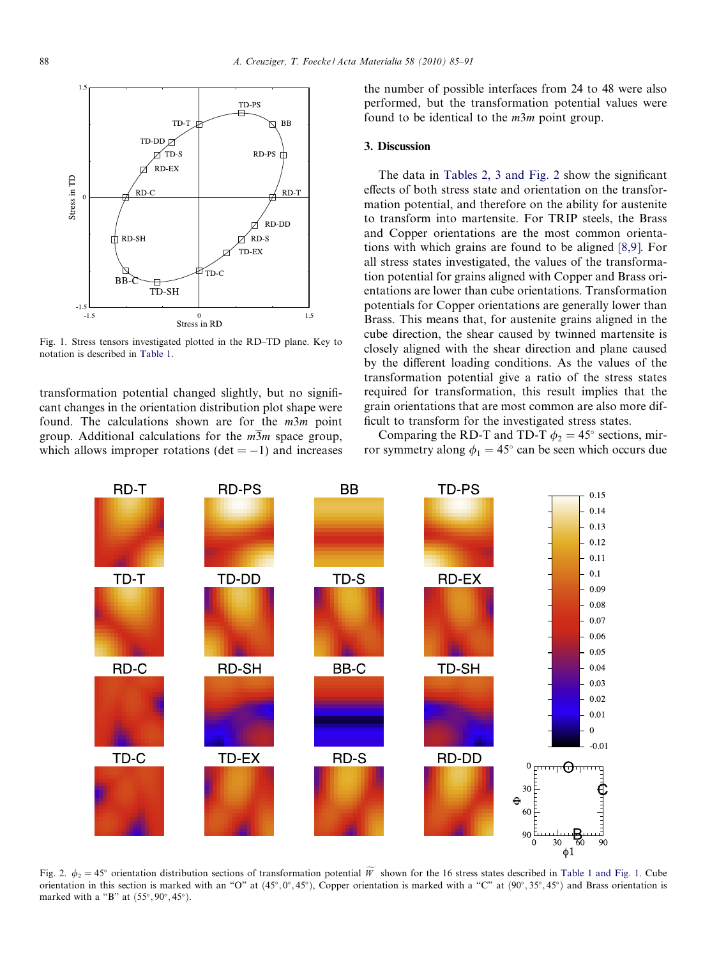<span id="page-3-0"></span>

Fig. 1. Stress tensors investigated plotted in the RD–TD plane. Key to notation is described in [Table 1.](#page-2-0)

transformation potential changed slightly, but no significant changes in the orientation distribution plot shape were found. The calculations shown are for the  $m3m$  point group. Additional calculations for the  $m\overline{3}m$  space group, which allows improper rotations ( $det = -1$ ) and increases the number of possible interfaces from 24 to 48 were also performed, but the transformation potential values were found to be identical to the  $m3m$  point group.

#### 3. Discussion

The data in Tables 2, 3 and Fig. 2 show the significant effects of both stress state and orientation on the transformation potential, and therefore on the ability for austenite to transform into martensite. For TRIP steels, the Brass and Copper orientations are the most common orientations with which grains are found to be aligned [\[8,9\]](#page-6-0). For all stress states investigated, the values of the transformation potential for grains aligned with Copper and Brass orientations are lower than cube orientations. Transformation potentials for Copper orientations are generally lower than Brass. This means that, for austenite grains aligned in the cube direction, the shear caused by twinned martensite is closely aligned with the shear direction and plane caused by the different loading conditions. As the values of the transformation potential give a ratio of the stress states required for transformation, this result implies that the grain orientations that are most common are also more difficult to transform for the investigated stress states.

Comparing the RD-T and TD-T  $\phi_2 = 45^\circ$  sections, mirror symmetry along  $\phi_1 = 45^\circ$  can be seen which occurs due



Fig. 2.  $\phi_2 = 45^\circ$  orientation distribution sections of transformation potential W shown for the 16 stress states described in Table 1 and Fig. 1. Cube orientation in this section is marked with an "O" at  $(45^{\circ}, 0^{\circ}, 45^{\circ})$ , Copper orientation is marked with a "C" at  $(90^{\circ}, 35^{\circ}, 45^{\circ})$  and Brass orientation is marked with a "B" at  $(55^{\circ}, 90^{\circ}, 45^{\circ})$ .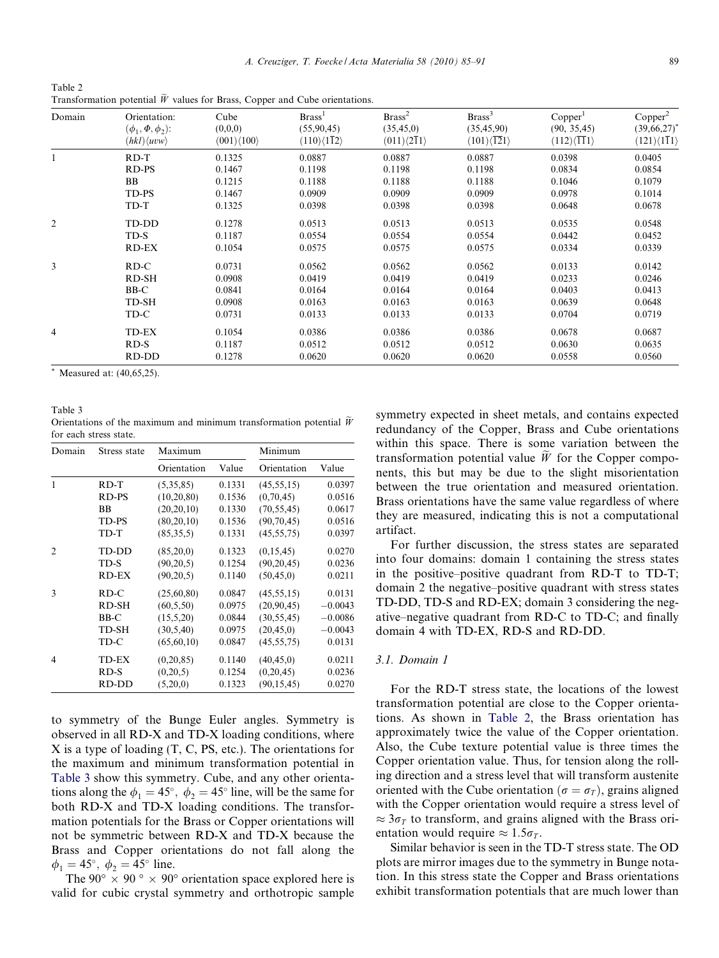<span id="page-4-0"></span>Table 2 Transformation potential  $\widetilde{W}$  values for Brass, Copper and Cube orientations.

| Domain         | Orientation:<br>$(\phi_1, \Phi, \phi_2)$ :<br>$(hkl)\langle uvw\rangle$ | Cube<br>(0,0,0)<br>$(001)\langle 100 \rangle$ | Brass <sup>1</sup><br>(55, 90, 45)<br>$(110)\langle1\overline{1}2\rangle$ | Brass <sup>2</sup><br>(35, 45, 0)<br>$(011)\langle 211 \rangle$ | Brass <sup>3</sup><br>(35, 45, 90)<br>$(101)\langle\overline{121}\rangle$ | Copper <sup>1</sup><br>(90, 35, 45)<br>$(112)\langle\overline{11}1\rangle$ | Copper <sup>2</sup><br>$(39,66,27)^*$<br>$(121)\langle1\overline{1}1\rangle$ |
|----------------|-------------------------------------------------------------------------|-----------------------------------------------|---------------------------------------------------------------------------|-----------------------------------------------------------------|---------------------------------------------------------------------------|----------------------------------------------------------------------------|------------------------------------------------------------------------------|
|                | $RD-T$                                                                  | 0.1325                                        | 0.0887                                                                    | 0.0887                                                          | 0.0887                                                                    | 0.0398                                                                     | 0.0405                                                                       |
|                | RD-PS                                                                   | 0.1467                                        | 0.1198                                                                    | 0.1198                                                          | 0.1198                                                                    | 0.0834                                                                     | 0.0854                                                                       |
|                | <b>BB</b>                                                               | 0.1215                                        | 0.1188                                                                    | 0.1188                                                          | 0.1188                                                                    | 0.1046                                                                     | 0.1079                                                                       |
|                | TD-PS                                                                   | 0.1467                                        | 0.0909                                                                    | 0.0909                                                          | 0.0909                                                                    | 0.0978                                                                     | 0.1014                                                                       |
|                | TD-T                                                                    | 0.1325                                        | 0.0398                                                                    | 0.0398                                                          | 0.0398                                                                    | 0.0648                                                                     | 0.0678                                                                       |
| $\overline{2}$ | TD-DD                                                                   | 0.1278                                        | 0.0513                                                                    | 0.0513                                                          | 0.0513                                                                    | 0.0535                                                                     | 0.0548                                                                       |
|                | TD-S                                                                    | 0.1187                                        | 0.0554                                                                    | 0.0554                                                          | 0.0554                                                                    | 0.0442                                                                     | 0.0452                                                                       |
|                | RD-EX                                                                   | 0.1054                                        | 0.0575                                                                    | 0.0575                                                          | 0.0575                                                                    | 0.0334                                                                     | 0.0339                                                                       |
| 3              | $RD-C$                                                                  | 0.0731                                        | 0.0562                                                                    | 0.0562                                                          | 0.0562                                                                    | 0.0133                                                                     | 0.0142                                                                       |
|                | RD-SH                                                                   | 0.0908                                        | 0.0419                                                                    | 0.0419                                                          | 0.0419                                                                    | 0.0233                                                                     | 0.0246                                                                       |
|                | BB-C                                                                    | 0.0841                                        | 0.0164                                                                    | 0.0164                                                          | 0.0164                                                                    | 0.0403                                                                     | 0.0413                                                                       |
|                | <b>TD-SH</b>                                                            | 0.0908                                        | 0.0163                                                                    | 0.0163                                                          | 0.0163                                                                    | 0.0639                                                                     | 0.0648                                                                       |
|                | TD-C                                                                    | 0.0731                                        | 0.0133                                                                    | 0.0133                                                          | 0.0133                                                                    | 0.0704                                                                     | 0.0719                                                                       |
| $\overline{4}$ | TD-EX                                                                   | 0.1054                                        | 0.0386                                                                    | 0.0386                                                          | 0.0386                                                                    | 0.0678                                                                     | 0.0687                                                                       |
|                | $RD-S$                                                                  | 0.1187                                        | 0.0512                                                                    | 0.0512                                                          | 0.0512                                                                    | 0.0630                                                                     | 0.0635                                                                       |
|                | RD-DD                                                                   | 0.1278                                        | 0.0620                                                                    | 0.0620                                                          | 0.0620                                                                    | 0.0558                                                                     | 0.0560                                                                       |

\* Measured at: (40,65,25).

Table 3 Orientations of the maximum and minimum transformation potential  $\widetilde{W}$ for each stress state.

| Domain         | Stress state | Maximum      |        | Minimum      |           |
|----------------|--------------|--------------|--------|--------------|-----------|
|                |              | Orientation  | Value  | Orientation  | Value     |
| 1              | $RD-T$       | (5,35,85)    | 0.1331 | (45, 55, 15) | 0.0397    |
|                | RD-PS        | (10, 20, 80) | 0.1536 | (0,70,45)    | 0.0516    |
|                | <b>BB</b>    | (20, 20, 10) | 0.1330 | (70, 55, 45) | 0.0617    |
|                | TD-PS        | (80, 20, 10) | 0.1536 | (90, 70, 45) | 0.0516    |
|                | TD-T         | (85, 35, 5)  | 0.1331 | (45, 55, 75) | 0.0397    |
| $\overline{2}$ | TD-DD        | (85,20,0)    | 0.1323 | (0,15,45)    | 0.0270    |
|                | TD-S         | (90, 20, 5)  | 0.1254 | (90, 20, 45) | 0.0236    |
|                | $R$ D-EX     | (90, 20, 5)  | 0.1140 | (50, 45, 0)  | 0.0211    |
| $\mathbf{3}$   | $RD-C$       | (25, 60, 80) | 0.0847 | (45, 55, 15) | 0.0131    |
|                | RD-SH        | (60, 5, 50)  | 0.0975 | (20, 90, 45) | $-0.0043$ |
|                | $BB-C$       | (15,5,20)    | 0.0844 | (30, 55, 45) | $-0.0086$ |
|                | TD-SH        | (30,5,40)    | 0.0975 | (20, 45, 0)  | $-0.0043$ |
|                | TD-C         | (65, 60, 10) | 0.0847 | (45, 55, 75) | 0.0131    |
| $\overline{4}$ | <b>TD-EX</b> | (0,20,85)    | 0.1140 | (40, 45, 0)  | 0.0211    |
|                | $RD-S$       | (0, 20, 5)   | 0.1254 | (0,20,45)    | 0.0236    |
|                | RD-DD        | (5,20,0)     | 0.1323 | (90, 15, 45) | 0.0270    |

to symmetry of the Bunge Euler angles. Symmetry is observed in all RD-X and TD-X loading conditions, where X is a type of loading (T, C, PS, etc.). The orientations for the maximum and minimum transformation potential in Table 3 show this symmetry. Cube, and any other orientations along the  $\phi_1 = 45^\circ$ ,  $\phi_2 = 45^\circ$  line, will be the same for both RD-X and TD-X loading conditions. The transformation potentials for the Brass or Copper orientations will not be symmetric between RD-X and TD-X because the Brass and Copper orientations do not fall along the  $\phi_1 = 45^\circ$ ,  $\phi_2 = 45^\circ$  line.

The 90 $\degree \times$  90  $\degree \times$  90 $\degree$  orientation space explored here is valid for cubic crystal symmetry and orthotropic sample symmetry expected in sheet metals, and contains expected redundancy of the Copper, Brass and Cube orientations within this space. There is some variation between the transformation potential value  $\tilde{W}$  for the Copper components, this but may be due to the slight misorientation between the true orientation and measured orientation. Brass orientations have the same value regardless of where they are measured, indicating this is not a computational artifact.

For further discussion, the stress states are separated into four domains: domain 1 containing the stress states in the positive–positive quadrant from RD-T to TD-T; domain 2 the negative–positive quadrant with stress states TD-DD, TD-S and RD-EX; domain 3 considering the negative–negative quadrant from RD-C to TD-C; and finally domain 4 with TD-EX, RD-S and RD-DD.

# 3.1. Domain 1

For the RD-T stress state, the locations of the lowest transformation potential are close to the Copper orientations. As shown in Table 2, the Brass orientation has approximately twice the value of the Copper orientation. Also, the Cube texture potential value is three times the Copper orientation value. Thus, for tension along the rolling direction and a stress level that will transform austenite oriented with the Cube orientation ( $\sigma = \sigma_T$ ), grains aligned with the Copper orientation would require a stress level of  $\approx 3\sigma_T$  to transform, and grains aligned with the Brass orientation would require  $\approx 1.5\sigma_T$ .

Similar behavior is seen in the TD-T stress state. The OD plots are mirror images due to the symmetry in Bunge notation. In this stress state the Copper and Brass orientations exhibit transformation potentials that are much lower than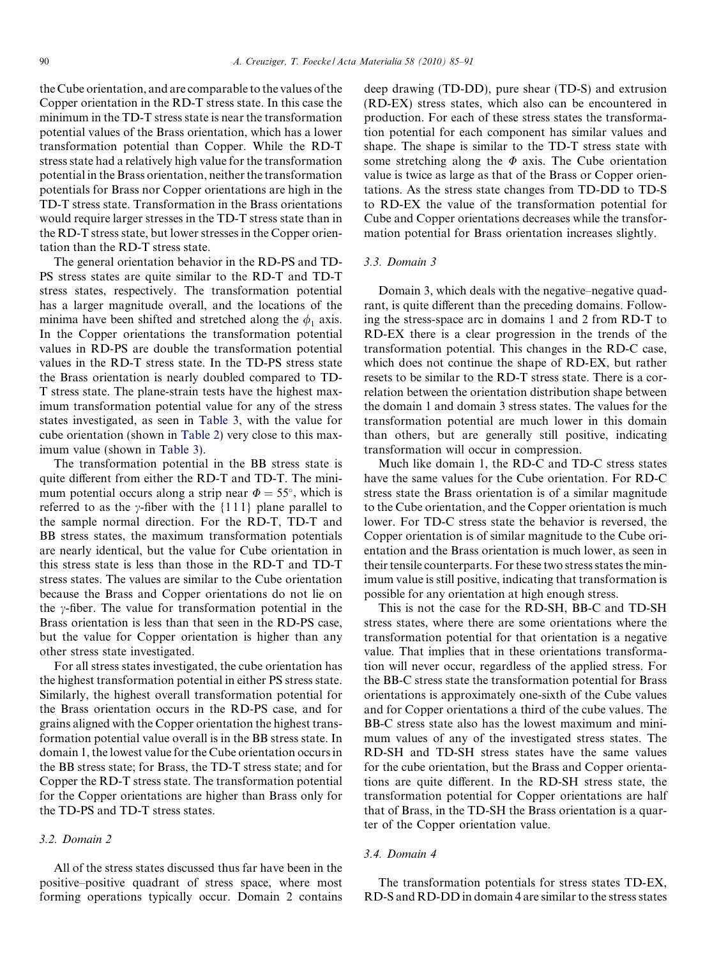the Cube orientation, and are comparable to the values of the Copper orientation in the RD-T stress state. In this case the minimum in the TD-T stress state is near the transformation potential values of the Brass orientation, which has a lower transformation potential than Copper. While the RD-T stress state had a relatively high value for the transformation potential in the Brass orientation, neither the transformation potentials for Brass nor Copper orientations are high in the TD-T stress state. Transformation in the Brass orientations would require larger stresses in the TD-T stress state than in the RD-T stress state, but lower stresses in the Copper orientation than the RD-T stress state.

The general orientation behavior in the RD-PS and TD-PS stress states are quite similar to the RD-T and TD-T stress states, respectively. The transformation potential has a larger magnitude overall, and the locations of the minima have been shifted and stretched along the  $\phi_1$  axis. In the Copper orientations the transformation potential values in RD-PS are double the transformation potential values in the RD-T stress state. In the TD-PS stress state the Brass orientation is nearly doubled compared to TD-T stress state. The plane-strain tests have the highest maximum transformation potential value for any of the stress states investigated, as seen in [Table 3,](#page-4-0) with the value for cube orientation (shown in [Table 2\)](#page-4-0) very close to this maximum value (shown in [Table 3\)](#page-4-0).

The transformation potential in the BB stress state is quite different from either the RD-T and TD-T. The minimum potential occurs along a strip near  $\Phi = 55^{\circ}$ , which is referred to as the  $\gamma$ -fiber with the {111} plane parallel to the sample normal direction. For the RD-T, TD-T and BB stress states, the maximum transformation potentials are nearly identical, but the value for Cube orientation in this stress state is less than those in the RD-T and TD-T stress states. The values are similar to the Cube orientation because the Brass and Copper orientations do not lie on the  $\gamma$ -fiber. The value for transformation potential in the Brass orientation is less than that seen in the RD-PS case, but the value for Copper orientation is higher than any other stress state investigated.

For all stress states investigated, the cube orientation has the highest transformation potential in either PS stress state. Similarly, the highest overall transformation potential for the Brass orientation occurs in the RD-PS case, and for grains aligned with the Copper orientation the highest transformation potential value overall is in the BB stress state. In domain 1, the lowest value for the Cube orientation occurs in the BB stress state; for Brass, the TD-T stress state; and for Copper the RD-T stress state. The transformation potential for the Copper orientations are higher than Brass only for the TD-PS and TD-T stress states.

# 3.2. Domain 2

All of the stress states discussed thus far have been in the positive–positive quadrant of stress space, where most forming operations typically occur. Domain 2 contains deep drawing (TD-DD), pure shear (TD-S) and extrusion (RD-EX) stress states, which also can be encountered in production. For each of these stress states the transformation potential for each component has similar values and shape. The shape is similar to the TD-T stress state with some stretching along the  $\Phi$  axis. The Cube orientation value is twice as large as that of the Brass or Copper orientations. As the stress state changes from TD-DD to TD-S to RD-EX the value of the transformation potential for Cube and Copper orientations decreases while the transformation potential for Brass orientation increases slightly.

#### 3.3. Domain 3

Domain 3, which deals with the negative–negative quadrant, is quite different than the preceding domains. Following the stress-space arc in domains 1 and 2 from RD-T to RD-EX there is a clear progression in the trends of the transformation potential. This changes in the RD-C case, which does not continue the shape of RD-EX, but rather resets to be similar to the RD-T stress state. There is a correlation between the orientation distribution shape between the domain 1 and domain 3 stress states. The values for the transformation potential are much lower in this domain than others, but are generally still positive, indicating transformation will occur in compression.

Much like domain 1, the RD-C and TD-C stress states have the same values for the Cube orientation. For RD-C stress state the Brass orientation is of a similar magnitude to the Cube orientation, and the Copper orientation is much lower. For TD-C stress state the behavior is reversed, the Copper orientation is of similar magnitude to the Cube orientation and the Brass orientation is much lower, as seen in their tensile counterparts. For these two stress states the minimum value is still positive, indicating that transformation is possible for any orientation at high enough stress.

This is not the case for the RD-SH, BB-C and TD-SH stress states, where there are some orientations where the transformation potential for that orientation is a negative value. That implies that in these orientations transformation will never occur, regardless of the applied stress. For the BB-C stress state the transformation potential for Brass orientations is approximately one-sixth of the Cube values and for Copper orientations a third of the cube values. The BB-C stress state also has the lowest maximum and minimum values of any of the investigated stress states. The RD-SH and TD-SH stress states have the same values for the cube orientation, but the Brass and Copper orientations are quite different. In the RD-SH stress state, the transformation potential for Copper orientations are half that of Brass, in the TD-SH the Brass orientation is a quarter of the Copper orientation value.

# 3.4. Domain 4

The transformation potentials for stress states TD-EX, RD-S and RD-DD in domain 4 are similar to the stress states